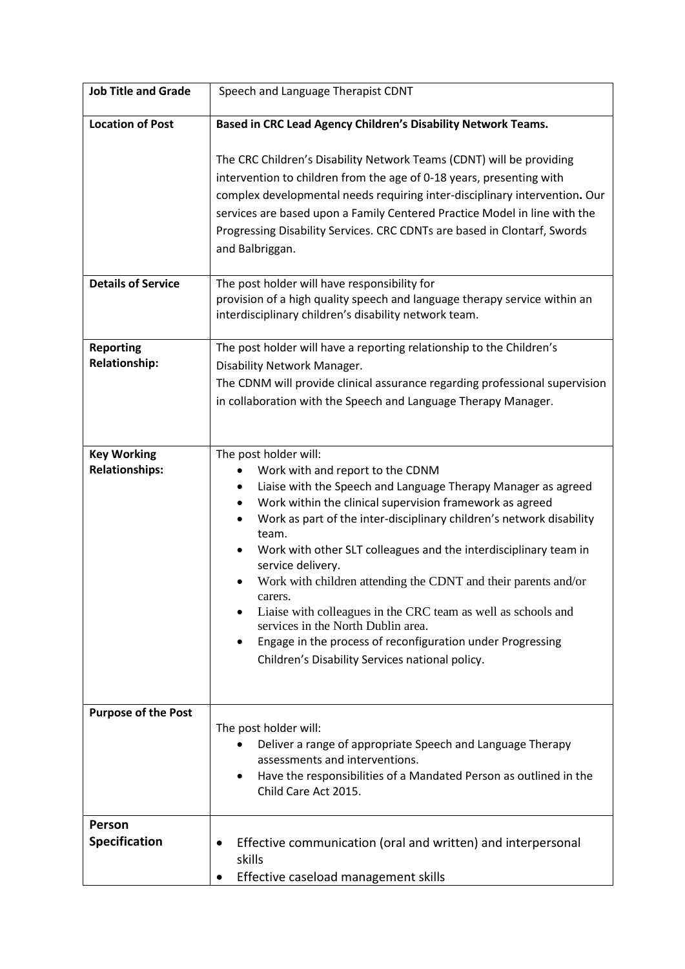| <b>Job Title and Grade</b>                  | Speech and Language Therapist CDNT                                                                                                                                                                                                                                                                                                                                                                                                                                                                                                                                                                                                                                           |
|---------------------------------------------|------------------------------------------------------------------------------------------------------------------------------------------------------------------------------------------------------------------------------------------------------------------------------------------------------------------------------------------------------------------------------------------------------------------------------------------------------------------------------------------------------------------------------------------------------------------------------------------------------------------------------------------------------------------------------|
| <b>Location of Post</b>                     | Based in CRC Lead Agency Children's Disability Network Teams.                                                                                                                                                                                                                                                                                                                                                                                                                                                                                                                                                                                                                |
|                                             | The CRC Children's Disability Network Teams (CDNT) will be providing<br>intervention to children from the age of 0-18 years, presenting with<br>complex developmental needs requiring inter-disciplinary intervention. Our<br>services are based upon a Family Centered Practice Model in line with the<br>Progressing Disability Services. CRC CDNTs are based in Clontarf, Swords<br>and Balbriggan.                                                                                                                                                                                                                                                                       |
| <b>Details of Service</b>                   | The post holder will have responsibility for<br>provision of a high quality speech and language therapy service within an<br>interdisciplinary children's disability network team.                                                                                                                                                                                                                                                                                                                                                                                                                                                                                           |
| <b>Reporting</b><br><b>Relationship:</b>    | The post holder will have a reporting relationship to the Children's<br>Disability Network Manager.<br>The CDNM will provide clinical assurance regarding professional supervision<br>in collaboration with the Speech and Language Therapy Manager.                                                                                                                                                                                                                                                                                                                                                                                                                         |
| <b>Key Working</b><br><b>Relationships:</b> | The post holder will:<br>Work with and report to the CDNM<br>Liaise with the Speech and Language Therapy Manager as agreed<br>٠<br>Work within the clinical supervision framework as agreed<br>Work as part of the inter-disciplinary children's network disability<br>$\bullet$<br>team.<br>Work with other SLT colleagues and the interdisciplinary team in<br>service delivery.<br>Work with children attending the CDNT and their parents and/or<br>Liaise with colleagues in the CRC team as well as schools and<br>services in the North Dublin area.<br>Engage in the process of reconfiguration under Progressing<br>Children's Disability Services national policy. |
| <b>Purpose of the Post</b>                  | The post holder will:<br>Deliver a range of appropriate Speech and Language Therapy<br>assessments and interventions.<br>Have the responsibilities of a Mandated Person as outlined in the<br>$\bullet$<br>Child Care Act 2015.                                                                                                                                                                                                                                                                                                                                                                                                                                              |
| Person<br><b>Specification</b>              | Effective communication (oral and written) and interpersonal<br>skills<br>Effective caseload management skills                                                                                                                                                                                                                                                                                                                                                                                                                                                                                                                                                               |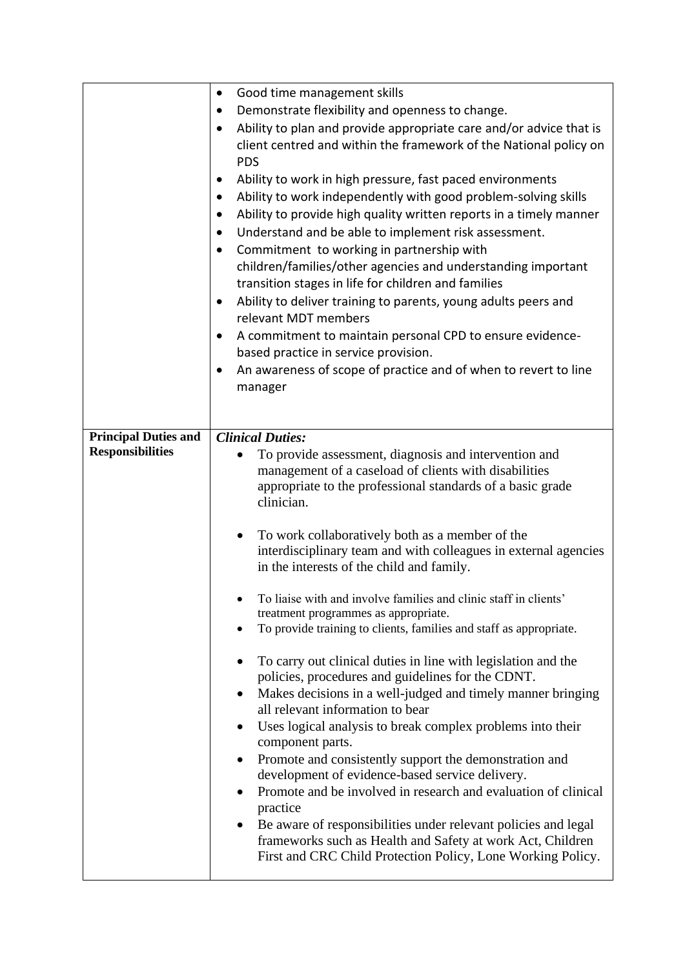| Good time management skills                                                                                               |  |
|---------------------------------------------------------------------------------------------------------------------------|--|
| Demonstrate flexibility and openness to change.                                                                           |  |
| Ability to plan and provide appropriate care and/or advice that is                                                        |  |
| client centred and within the framework of the National policy on                                                         |  |
| <b>PDS</b>                                                                                                                |  |
| Ability to work in high pressure, fast paced environments                                                                 |  |
| Ability to work independently with good problem-solving skills<br>$\bullet$                                               |  |
| Ability to provide high quality written reports in a timely manner                                                        |  |
| Understand and be able to implement risk assessment.<br>$\bullet$                                                         |  |
| Commitment to working in partnership with                                                                                 |  |
| children/families/other agencies and understanding important<br>transition stages in life for children and families       |  |
| Ability to deliver training to parents, young adults peers and<br>$\bullet$                                               |  |
| relevant MDT members                                                                                                      |  |
| A commitment to maintain personal CPD to ensure evidence-                                                                 |  |
| based practice in service provision.                                                                                      |  |
| An awareness of scope of practice and of when to revert to line<br>$\bullet$                                              |  |
| manager                                                                                                                   |  |
|                                                                                                                           |  |
|                                                                                                                           |  |
| <b>Principal Duties and</b><br><b>Clinical Duties:</b>                                                                    |  |
| <b>Responsibilities</b><br>To provide assessment, diagnosis and intervention and                                          |  |
| management of a caseload of clients with disabilities                                                                     |  |
| appropriate to the professional standards of a basic grade<br>clinician.                                                  |  |
|                                                                                                                           |  |
| To work collaboratively both as a member of the                                                                           |  |
| interdisciplinary team and with colleagues in external agencies                                                           |  |
| in the interests of the child and family.                                                                                 |  |
| To liaise with and involve families and clinic staff in clients'                                                          |  |
| treatment programmes as appropriate.                                                                                      |  |
| To provide training to clients, families and staff as appropriate.                                                        |  |
|                                                                                                                           |  |
| To carry out clinical duties in line with legislation and the                                                             |  |
| policies, procedures and guidelines for the CDNT.                                                                         |  |
| Makes decisions in a well-judged and timely manner bringing<br>all relevant information to bear                           |  |
| Uses logical analysis to break complex problems into their                                                                |  |
| component parts.                                                                                                          |  |
| Promote and consistently support the demonstration and                                                                    |  |
| development of evidence-based service delivery.                                                                           |  |
| Promote and be involved in research and evaluation of clinical                                                            |  |
| practice                                                                                                                  |  |
|                                                                                                                           |  |
| Be aware of responsibilities under relevant policies and legal                                                            |  |
| frameworks such as Health and Safety at work Act, Children<br>First and CRC Child Protection Policy, Lone Working Policy. |  |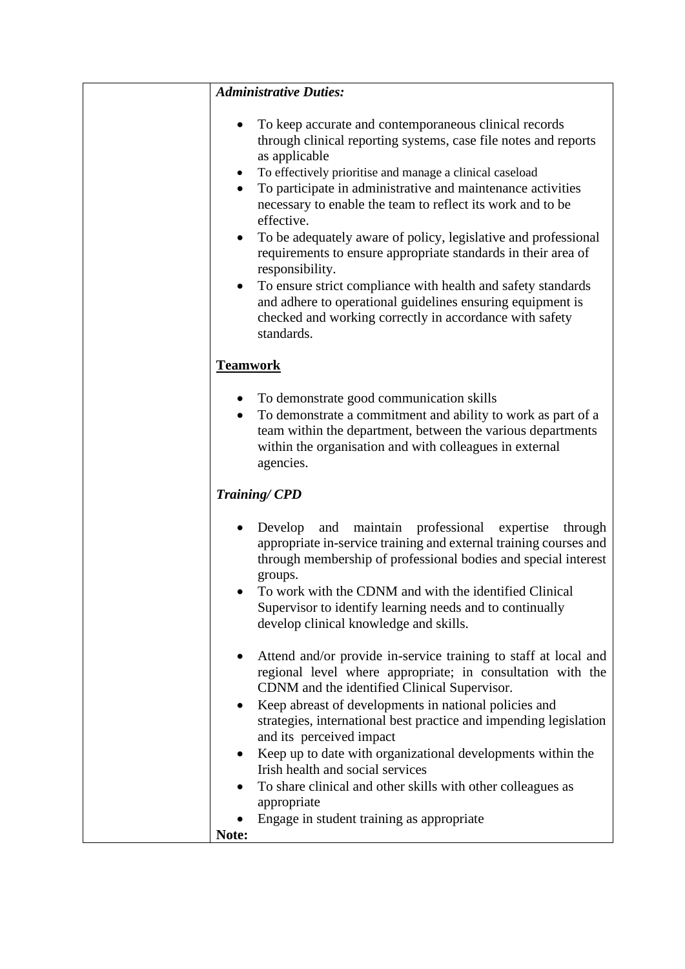|                        | <b>Administrative Duties:</b>                                                                                                                                                                                                                                                                                                                                                                                                                                                                                                                                                                                                                                                                                 |
|------------------------|---------------------------------------------------------------------------------------------------------------------------------------------------------------------------------------------------------------------------------------------------------------------------------------------------------------------------------------------------------------------------------------------------------------------------------------------------------------------------------------------------------------------------------------------------------------------------------------------------------------------------------------------------------------------------------------------------------------|
| $\bullet$<br>$\bullet$ | To keep accurate and contemporaneous clinical records<br>through clinical reporting systems, case file notes and reports<br>as applicable<br>To effectively prioritise and manage a clinical caseload<br>To participate in administrative and maintenance activities<br>necessary to enable the team to reflect its work and to be<br>effective.<br>To be adequately aware of policy, legislative and professional<br>requirements to ensure appropriate standards in their area of<br>responsibility.<br>To ensure strict compliance with health and safety standards<br>and adhere to operational guidelines ensuring equipment is<br>checked and working correctly in accordance with safety<br>standards. |
| <b>Teamwork</b>        |                                                                                                                                                                                                                                                                                                                                                                                                                                                                                                                                                                                                                                                                                                               |
| $\bullet$              | To demonstrate good communication skills<br>To demonstrate a commitment and ability to work as part of a<br>team within the department, between the various departments<br>within the organisation and with colleagues in external<br>agencies.                                                                                                                                                                                                                                                                                                                                                                                                                                                               |
|                        | <b>Training/CPD</b>                                                                                                                                                                                                                                                                                                                                                                                                                                                                                                                                                                                                                                                                                           |
|                        | Develop and maintain professional expertise<br>through<br>appropriate in-service training and external training courses and<br>through membership of professional bodies and special interest<br>groups.<br>To work with the CDNM and with the identified Clinical<br>Supervisor to identify learning needs and to continually<br>develop clinical knowledge and skills.                                                                                                                                                                                                                                                                                                                                      |
| ٠<br>٠                 | Attend and/or provide in-service training to staff at local and<br>regional level where appropriate; in consultation with the<br>CDNM and the identified Clinical Supervisor.<br>Keep abreast of developments in national policies and<br>strategies, international best practice and impending legislation<br>and its perceived impact<br>Keep up to date with organizational developments within the<br>Irish health and social services<br>To share clinical and other skills with other colleagues as<br>appropriate<br>Engage in student training as appropriate                                                                                                                                         |
| Note:                  |                                                                                                                                                                                                                                                                                                                                                                                                                                                                                                                                                                                                                                                                                                               |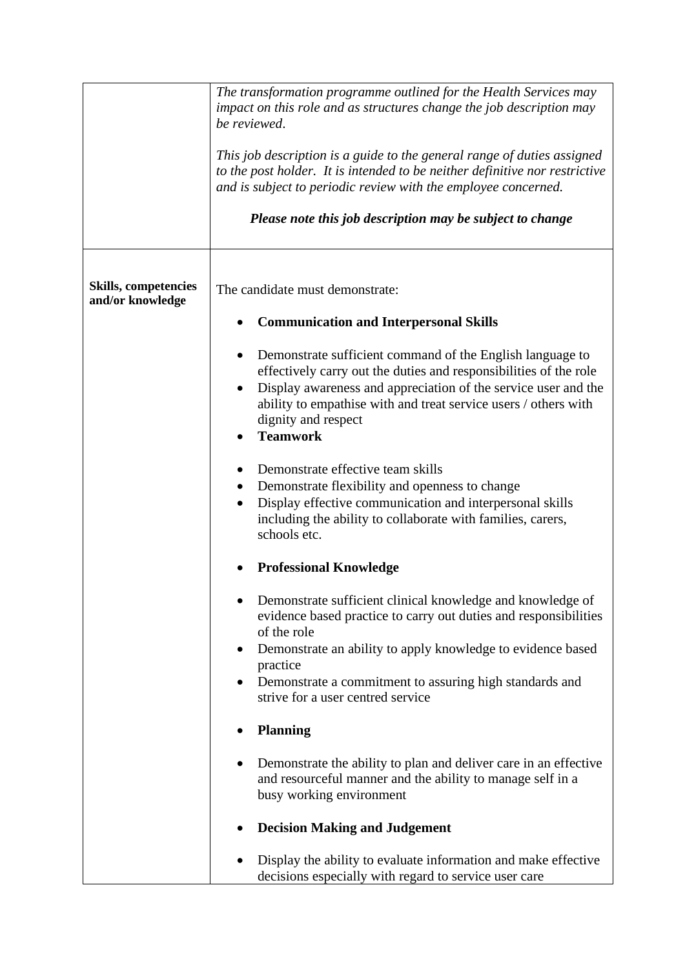|                                                 | The transformation programme outlined for the Health Services may<br>impact on this role and as structures change the job description may<br>be reviewed.                                                                                                                                                     |
|-------------------------------------------------|---------------------------------------------------------------------------------------------------------------------------------------------------------------------------------------------------------------------------------------------------------------------------------------------------------------|
|                                                 | This job description is a guide to the general range of duties assigned<br>to the post holder. It is intended to be neither definitive nor restrictive<br>and is subject to periodic review with the employee concerned.                                                                                      |
|                                                 | Please note this job description may be subject to change                                                                                                                                                                                                                                                     |
| <b>Skills, competencies</b><br>and/or knowledge | The candidate must demonstrate:                                                                                                                                                                                                                                                                               |
|                                                 | <b>Communication and Interpersonal Skills</b>                                                                                                                                                                                                                                                                 |
|                                                 | Demonstrate sufficient command of the English language to<br>effectively carry out the duties and responsibilities of the role<br>Display awareness and appreciation of the service user and the<br>ability to empathise with and treat service users / others with<br>dignity and respect<br><b>Teamwork</b> |
|                                                 | Demonstrate effective team skills<br>Demonstrate flexibility and openness to change<br>Display effective communication and interpersonal skills<br>including the ability to collaborate with families, carers,<br>schools etc.                                                                                |
|                                                 | <b>Professional Knowledge</b>                                                                                                                                                                                                                                                                                 |
|                                                 | Demonstrate sufficient clinical knowledge and knowledge of<br>evidence based practice to carry out duties and responsibilities<br>of the role<br>Demonstrate an ability to apply knowledge to evidence based<br>$\bullet$<br>practice                                                                         |
|                                                 | Demonstrate a commitment to assuring high standards and<br>٠<br>strive for a user centred service                                                                                                                                                                                                             |
|                                                 | <b>Planning</b>                                                                                                                                                                                                                                                                                               |
|                                                 | Demonstrate the ability to plan and deliver care in an effective<br>and resourceful manner and the ability to manage self in a<br>busy working environment                                                                                                                                                    |
|                                                 | <b>Decision Making and Judgement</b>                                                                                                                                                                                                                                                                          |
|                                                 | Display the ability to evaluate information and make effective<br>decisions especially with regard to service user care                                                                                                                                                                                       |